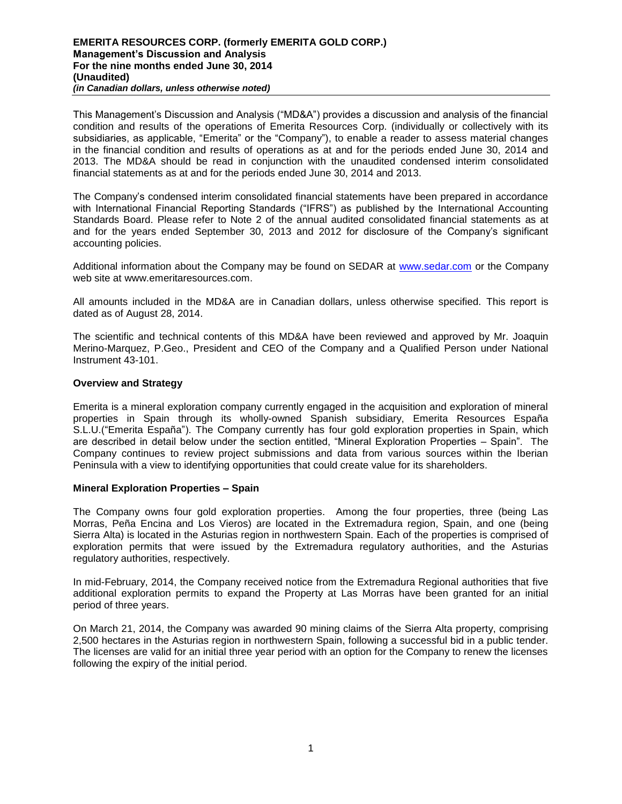This Management's Discussion and Analysis ("MD&A") provides a discussion and analysis of the financial condition and results of the operations of Emerita Resources Corp. (individually or collectively with its subsidiaries, as applicable, "Emerita" or the "Company"), to enable a reader to assess material changes in the financial condition and results of operations as at and for the periods ended June 30, 2014 and 2013. The MD&A should be read in conjunction with the unaudited condensed interim consolidated financial statements as at and for the periods ended June 30, 2014 and 2013.

The Company's condensed interim consolidated financial statements have been prepared in accordance with International Financial Reporting Standards ("IFRS") as published by the International Accounting Standards Board. Please refer to Note 2 of the annual audited consolidated financial statements as at and for the years ended September 30, 2013 and 2012 for disclosure of the Company's significant accounting policies.

Additional information about the Company may be found on SEDAR at [www.sedar.com](http://www.sedar.com/) or the Company web site at www.emeritaresources.com.

All amounts included in the MD&A are in Canadian dollars, unless otherwise specified. This report is dated as of August 28, 2014.

The scientific and technical contents of this MD&A have been reviewed and approved by Mr. Joaquin Merino-Marquez, P.Geo., President and CEO of the Company and a Qualified Person under National Instrument 43-101.

## **Overview and Strategy**

Emerita is a mineral exploration company currently engaged in the acquisition and exploration of mineral properties in Spain through its wholly-owned Spanish subsidiary, Emerita Resources España S.L.U.("Emerita España"). The Company currently has four gold exploration properties in Spain, which are described in detail below under the section entitled, "Mineral Exploration Properties – Spain". The Company continues to review project submissions and data from various sources within the Iberian Peninsula with a view to identifying opportunities that could create value for its shareholders.

## **Mineral Exploration Properties – Spain**

The Company owns four gold exploration properties. Among the four properties, three (being Las Morras, Peña Encina and Los Vieros) are located in the Extremadura region, Spain, and one (being Sierra Alta) is located in the Asturias region in northwestern Spain. Each of the properties is comprised of exploration permits that were issued by the Extremadura regulatory authorities, and the Asturias regulatory authorities, respectively.

In mid-February, 2014, the Company received notice from the Extremadura Regional authorities that five additional exploration permits to expand the Property at Las Morras have been granted for an initial period of three years.

On March 21, 2014, the Company was awarded 90 mining claims of the Sierra Alta property, comprising 2,500 hectares in the Asturias region in northwestern Spain, following a successful bid in a public tender. The licenses are valid for an initial three year period with an option for the Company to renew the licenses following the expiry of the initial period.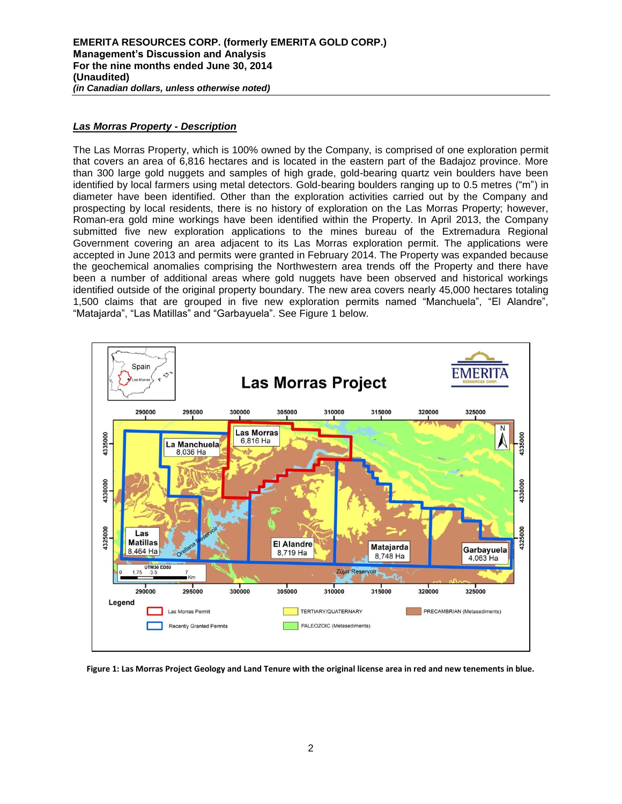## *Las Morras Property - Description*

The Las Morras Property, which is 100% owned by the Company, is comprised of one exploration permit that covers an area of 6,816 hectares and is located in the eastern part of the Badajoz province. More than 300 large gold nuggets and samples of high grade, gold-bearing quartz vein boulders have been identified by local farmers using metal detectors. Gold-bearing boulders ranging up to 0.5 metres ("m") in diameter have been identified. Other than the exploration activities carried out by the Company and prospecting by local residents, there is no history of exploration on the Las Morras Property; however, Roman-era gold mine workings have been identified within the Property. In April 2013, the Company submitted five new exploration applications to the mines bureau of the Extremadura Regional Government covering an area adjacent to its Las Morras exploration permit. The applications were accepted in June 2013 and permits were granted in February 2014. The Property was expanded because the geochemical anomalies comprising the Northwestern area trends off the Property and there have been a number of additional areas where gold nuggets have been observed and historical workings identified outside of the original property boundary. The new area covers nearly 45,000 hectares totaling 1,500 claims that are grouped in five new exploration permits named "Manchuela", "El Alandre", "Matajarda", "Las Matillas" and "Garbayuela". See Figure 1 below.



**Figure 1: Las Morras Project Geology and Land Tenure with the original license area in red and new tenements in blue.**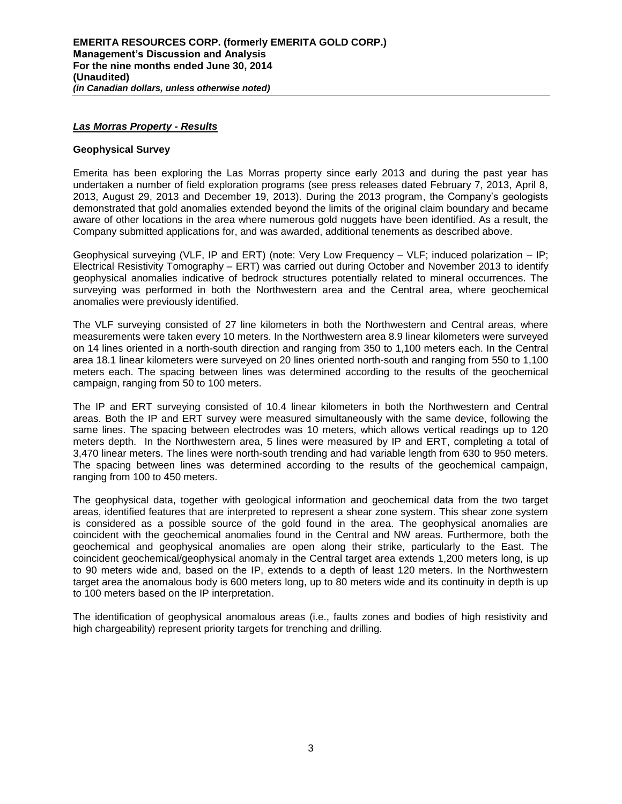#### *Las Morras Property - Results*

#### **Geophysical Survey**

Emerita has been exploring the Las Morras property since early 2013 and during the past year has undertaken a number of field exploration programs (see press releases dated February 7, 2013, April 8, 2013, August 29, 2013 and December 19, 2013). During the 2013 program, the Company's geologists demonstrated that gold anomalies extended beyond the limits of the original claim boundary and became aware of other locations in the area where numerous gold nuggets have been identified. As a result, the Company submitted applications for, and was awarded, additional tenements as described above.

Geophysical surveying (VLF, IP and ERT) (note: Very Low Frequency – VLF; induced polarization – IP; Electrical Resistivity Tomography – ERT) was carried out during October and November 2013 to identify geophysical anomalies indicative of bedrock structures potentially related to mineral occurrences. The surveying was performed in both the Northwestern area and the Central area, where geochemical anomalies were previously identified.

The VLF surveying consisted of 27 line kilometers in both the Northwestern and Central areas, where measurements were taken every 10 meters. In the Northwestern area 8.9 linear kilometers were surveyed on 14 lines oriented in a north-south direction and ranging from 350 to 1,100 meters each. In the Central area 18.1 linear kilometers were surveyed on 20 lines oriented north-south and ranging from 550 to 1,100 meters each. The spacing between lines was determined according to the results of the geochemical campaign, ranging from 50 to 100 meters.

The IP and ERT surveying consisted of 10.4 linear kilometers in both the Northwestern and Central areas. Both the IP and ERT survey were measured simultaneously with the same device, following the same lines. The spacing between electrodes was 10 meters, which allows vertical readings up to 120 meters depth. In the Northwestern area, 5 lines were measured by IP and ERT, completing a total of 3,470 linear meters. The lines were north-south trending and had variable length from 630 to 950 meters. The spacing between lines was determined according to the results of the geochemical campaign, ranging from 100 to 450 meters.

The geophysical data, together with geological information and geochemical data from the two target areas, identified features that are interpreted to represent a shear zone system. This shear zone system is considered as a possible source of the gold found in the area. The geophysical anomalies are coincident with the geochemical anomalies found in the Central and NW areas. Furthermore, both the geochemical and geophysical anomalies are open along their strike, particularly to the East. The coincident geochemical/geophysical anomaly in the Central target area extends 1,200 meters long, is up to 90 meters wide and, based on the IP, extends to a depth of least 120 meters. In the Northwestern target area the anomalous body is 600 meters long, up to 80 meters wide and its continuity in depth is up to 100 meters based on the IP interpretation.

The identification of geophysical anomalous areas (i.e., faults zones and bodies of high resistivity and high chargeability) represent priority targets for trenching and drilling.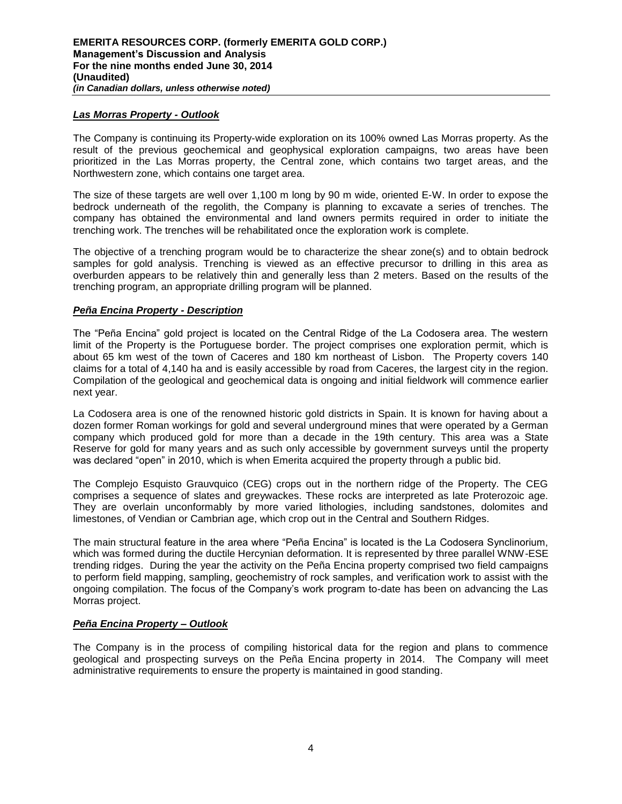## *Las Morras Property - Outlook*

The Company is continuing its Property-wide exploration on its 100% owned Las Morras property. As the result of the previous geochemical and geophysical exploration campaigns, two areas have been prioritized in the Las Morras property, the Central zone, which contains two target areas, and the Northwestern zone, which contains one target area.

The size of these targets are well over 1,100 m long by 90 m wide, oriented E-W. In order to expose the bedrock underneath of the regolith, the Company is planning to excavate a series of trenches. The company has obtained the environmental and land owners permits required in order to initiate the trenching work. The trenches will be rehabilitated once the exploration work is complete.

The objective of a trenching program would be to characterize the shear zone(s) and to obtain bedrock samples for gold analysis. Trenching is viewed as an effective precursor to drilling in this area as overburden appears to be relatively thin and generally less than 2 meters. Based on the results of the trenching program, an appropriate drilling program will be planned.

# *Peña Encina Property - Description*

The "Peña Encina" gold project is located on the Central Ridge of the La Codosera area. The western limit of the Property is the Portuguese border. The project comprises one exploration permit, which is about 65 km west of the town of Caceres and 180 km northeast of Lisbon. The Property covers 140 claims for a total of 4,140 ha and is easily accessible by road from Caceres, the largest city in the region. Compilation of the geological and geochemical data is ongoing and initial fieldwork will commence earlier next year.

La Codosera area is one of the renowned historic gold districts in Spain. It is known for having about a dozen former Roman workings for gold and several underground mines that were operated by a German company which produced gold for more than a decade in the 19th century. This area was a State Reserve for gold for many years and as such only accessible by government surveys until the property was declared "open" in 2010, which is when Emerita acquired the property through a public bid.

The Complejo Esquisto Grauvquico (CEG) crops out in the northern ridge of the Property. The CEG comprises a sequence of slates and greywackes. These rocks are interpreted as late Proterozoic age. They are overlain unconformably by more varied lithologies, including sandstones, dolomites and limestones, of Vendian or Cambrian age, which crop out in the Central and Southern Ridges.

The main structural feature in the area where "Peña Encina" is located is the La Codosera Synclinorium, which was formed during the ductile Hercynian deformation. It is represented by three parallel WNW-ESE trending ridges. During the year the activity on the Peña Encina property comprised two field campaigns to perform field mapping, sampling, geochemistry of rock samples, and verification work to assist with the ongoing compilation. The focus of the Company's work program to-date has been on advancing the Las Morras project.

## *Peña Encina Property – Outlook*

The Company is in the process of compiling historical data for the region and plans to commence geological and prospecting surveys on the Peña Encina property in 2014. The Company will meet administrative requirements to ensure the property is maintained in good standing.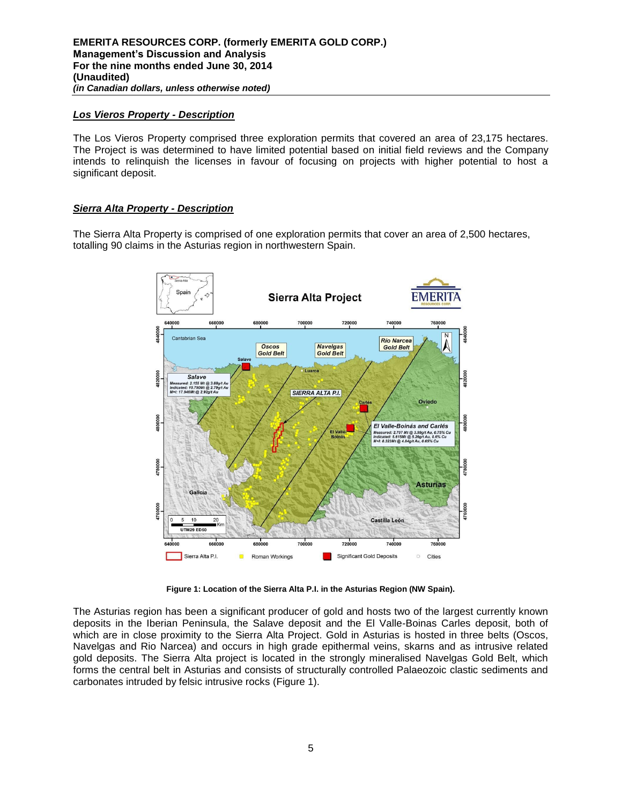## *Los Vieros Property - Description*

The Los Vieros Property comprised three exploration permits that covered an area of 23,175 hectares. The Project is was determined to have limited potential based on initial field reviews and the Company intends to relinquish the licenses in favour of focusing on projects with higher potential to host a significant deposit.

# *Sierra Alta Property - Description*

The Sierra Alta Property is comprised of one exploration permits that cover an area of 2,500 hectares, totalling 90 claims in the Asturias region in northwestern Spain.



**Figure 1: Location of the Sierra Alta P.I. in the Asturias Region (NW Spain).**

The Asturias region has been a significant producer of gold and hosts two of the largest currently known deposits in the Iberian Peninsula, the Salave deposit and the El Valle-Boinas Carles deposit, both of which are in close proximity to the Sierra Alta Project. Gold in Asturias is hosted in three belts (Oscos, Navelgas and Rio Narcea) and occurs in high grade epithermal veins, skarns and as intrusive related gold deposits. The Sierra Alta project is located in the strongly mineralised Navelgas Gold Belt, which forms the central belt in Asturias and consists of structurally controlled Palaeozoic clastic sediments and carbonates intruded by felsic intrusive rocks (Figure 1).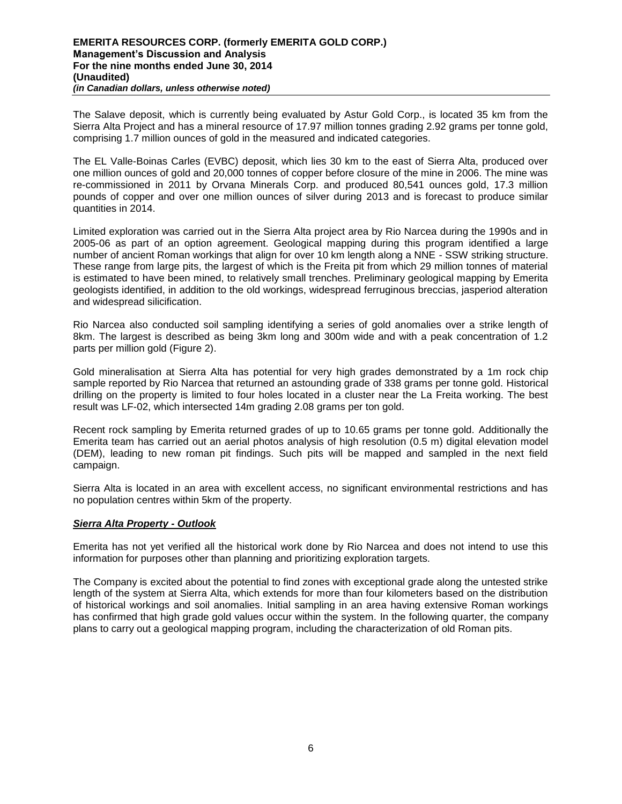The Salave deposit, which is currently being evaluated by Astur Gold Corp., is located 35 km from the Sierra Alta Project and has a mineral resource of 17.97 million tonnes grading 2.92 grams per tonne gold, comprising 1.7 million ounces of gold in the measured and indicated categories.

The EL Valle-Boinas Carles (EVBC) deposit, which lies 30 km to the east of Sierra Alta, produced over one million ounces of gold and 20,000 tonnes of copper before closure of the mine in 2006. The mine was re-commissioned in 2011 by Orvana Minerals Corp. and produced 80,541 ounces gold, 17.3 million pounds of copper and over one million ounces of silver during 2013 and is forecast to produce similar quantities in 2014.

Limited exploration was carried out in the Sierra Alta project area by Rio Narcea during the 1990s and in 2005-06 as part of an option agreement. Geological mapping during this program identified a large number of ancient Roman workings that align for over 10 km length along a NNE - SSW striking structure. These range from large pits, the largest of which is the Freita pit from which 29 million tonnes of material is estimated to have been mined, to relatively small trenches. Preliminary geological mapping by Emerita geologists identified, in addition to the old workings, widespread ferruginous breccias, jasperiod alteration and widespread silicification.

Rio Narcea also conducted soil sampling identifying a series of gold anomalies over a strike length of 8km. The largest is described as being 3km long and 300m wide and with a peak concentration of 1.2 parts per million gold (Figure 2).

Gold mineralisation at Sierra Alta has potential for very high grades demonstrated by a 1m rock chip sample reported by Rio Narcea that returned an astounding grade of 338 grams per tonne gold. Historical drilling on the property is limited to four holes located in a cluster near the La Freita working. The best result was LF-02, which intersected 14m grading 2.08 grams per ton gold.

Recent rock sampling by Emerita returned grades of up to 10.65 grams per tonne gold. Additionally the Emerita team has carried out an aerial photos analysis of high resolution (0.5 m) digital elevation model (DEM), leading to new roman pit findings. Such pits will be mapped and sampled in the next field campaign.

Sierra Alta is located in an area with excellent access, no significant environmental restrictions and has no population centres within 5km of the property.

## *Sierra Alta Property - Outlook*

Emerita has not yet verified all the historical work done by Rio Narcea and does not intend to use this information for purposes other than planning and prioritizing exploration targets.

The Company is excited about the potential to find zones with exceptional grade along the untested strike length of the system at Sierra Alta, which extends for more than four kilometers based on the distribution of historical workings and soil anomalies. Initial sampling in an area having extensive Roman workings has confirmed that high grade gold values occur within the system. In the following quarter, the company plans to carry out a geological mapping program, including the characterization of old Roman pits.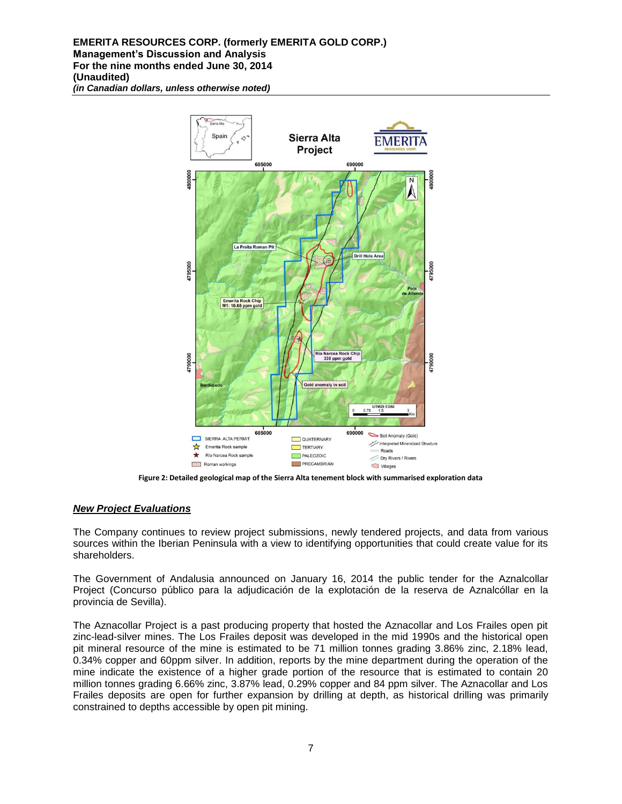#### **EMERITA RESOURCES CORP. (formerly EMERITA GOLD CORP.) Management's Discussion and Analysis For the nine months ended June 30, 2014 (Unaudited)** *(in Canadian dollars, unless otherwise noted)*



**Figure 2: Detailed geological map of the Sierra Alta tenement block with summarised exploration data** 

## *New Project Evaluations*

The Company continues to review project submissions, newly tendered projects, and data from various sources within the Iberian Peninsula with a view to identifying opportunities that could create value for its shareholders.

The Government of Andalusia announced on January 16, 2014 the public tender for the Aznalcollar Project (Concurso público para la adjudicación de la explotación de la reserva de Aznalcóllar en la provincia de Sevilla).

The Aznacollar Project is a past producing property that hosted the Aznacollar and Los Frailes open pit zinc-lead-silver mines. The Los Frailes deposit was developed in the mid 1990s and the historical open pit mineral resource of the mine is estimated to be 71 million tonnes grading 3.86% zinc, 2.18% lead, 0.34% copper and 60ppm silver. In addition, reports by the mine department during the operation of the mine indicate the existence of a higher grade portion of the resource that is estimated to contain 20 million tonnes grading 6.66% zinc, 3.87% lead, 0.29% copper and 84 ppm silver. The Aznacollar and Los Frailes deposits are open for further expansion by drilling at depth, as historical drilling was primarily constrained to depths accessible by open pit mining.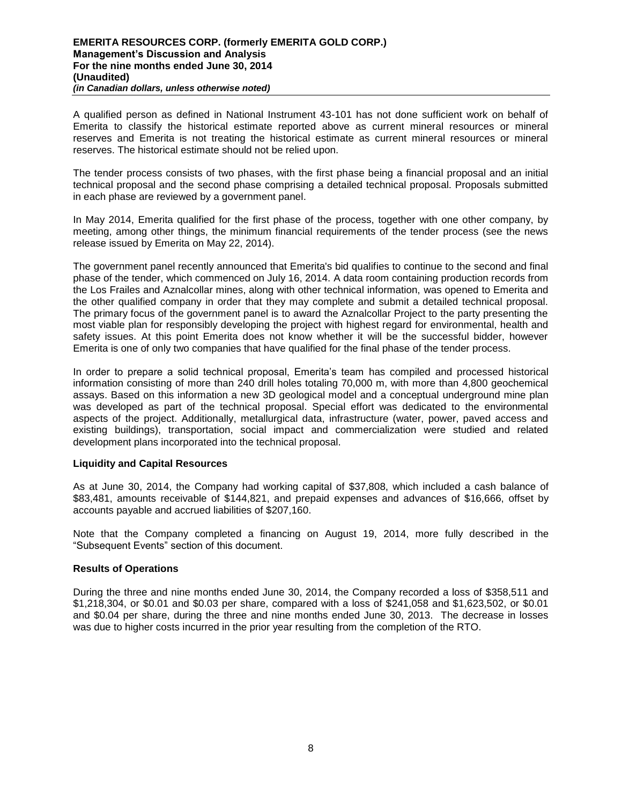A qualified person as defined in National Instrument 43-101 has not done sufficient work on behalf of Emerita to classify the historical estimate reported above as current mineral resources or mineral reserves and Emerita is not treating the historical estimate as current mineral resources or mineral reserves. The historical estimate should not be relied upon.

The tender process consists of two phases, with the first phase being a financial proposal and an initial technical proposal and the second phase comprising a detailed technical proposal. Proposals submitted in each phase are reviewed by a government panel.

In May 2014, Emerita qualified for the first phase of the process, together with one other company, by meeting, among other things, the minimum financial requirements of the tender process (see the news release issued by Emerita on May 22, 2014).

The government panel recently announced that Emerita's bid qualifies to continue to the second and final phase of the tender, which commenced on July 16, 2014. A data room containing production records from the Los Frailes and Aznalcollar mines, along with other technical information, was opened to Emerita and the other qualified company in order that they may complete and submit a detailed technical proposal. The primary focus of the government panel is to award the Aznalcollar Project to the party presenting the most viable plan for responsibly developing the project with highest regard for environmental, health and safety issues. At this point Emerita does not know whether it will be the successful bidder, however Emerita is one of only two companies that have qualified for the final phase of the tender process.

In order to prepare a solid technical proposal, Emerita's team has compiled and processed historical information consisting of more than 240 drill holes totaling 70,000 m, with more than 4,800 geochemical assays. Based on this information a new 3D geological model and a conceptual underground mine plan was developed as part of the technical proposal. Special effort was dedicated to the environmental aspects of the project. Additionally, metallurgical data, infrastructure (water, power, paved access and existing buildings), transportation, social impact and commercialization were studied and related development plans incorporated into the technical proposal.

## **Liquidity and Capital Resources**

As at June 30, 2014, the Company had working capital of \$37,808, which included a cash balance of \$83,481, amounts receivable of \$144,821, and prepaid expenses and advances of \$16,666, offset by accounts payable and accrued liabilities of \$207,160.

Note that the Company completed a financing on August 19, 2014, more fully described in the "Subsequent Events" section of this document.

## **Results of Operations**

During the three and nine months ended June 30, 2014, the Company recorded a loss of \$358,511 and \$1,218,304, or \$0.01 and \$0.03 per share, compared with a loss of \$241,058 and \$1,623,502, or \$0.01 and \$0.04 per share, during the three and nine months ended June 30, 2013. The decrease in losses was due to higher costs incurred in the prior year resulting from the completion of the RTO.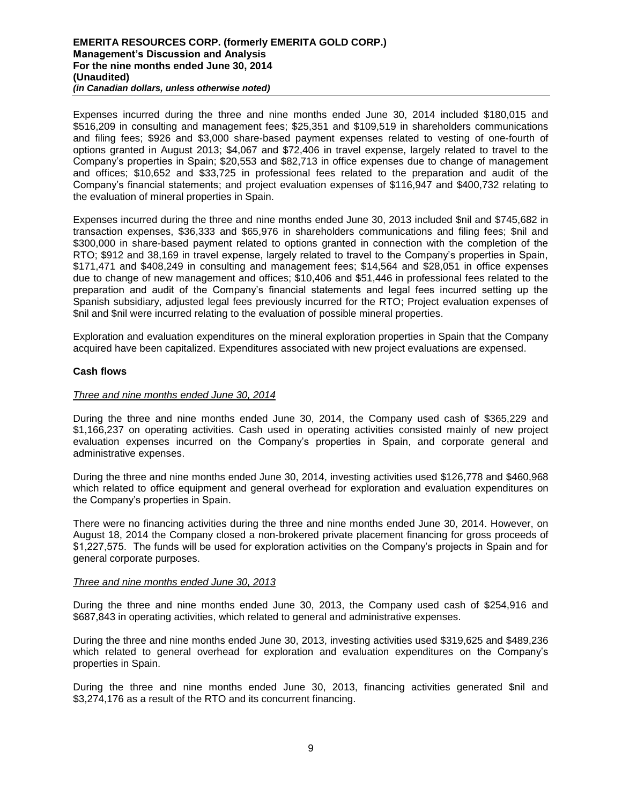#### **EMERITA RESOURCES CORP. (formerly EMERITA GOLD CORP.) Management's Discussion and Analysis For the nine months ended June 30, 2014 (Unaudited)** *(in Canadian dollars, unless otherwise noted)*

Expenses incurred during the three and nine months ended June 30, 2014 included \$180,015 and \$516,209 in consulting and management fees; \$25,351 and \$109,519 in shareholders communications and filing fees; \$926 and \$3,000 share-based payment expenses related to vesting of one-fourth of options granted in August 2013; \$4,067 and \$72,406 in travel expense, largely related to travel to the Company's properties in Spain; \$20,553 and \$82,713 in office expenses due to change of management and offices; \$10,652 and \$33,725 in professional fees related to the preparation and audit of the Company's financial statements; and project evaluation expenses of \$116,947 and \$400,732 relating to the evaluation of mineral properties in Spain.

Expenses incurred during the three and nine months ended June 30, 2013 included \$nil and \$745,682 in transaction expenses, \$36,333 and \$65,976 in shareholders communications and filing fees; \$nil and \$300,000 in share-based payment related to options granted in connection with the completion of the RTO; \$912 and 38,169 in travel expense, largely related to travel to the Company's properties in Spain, \$171,471 and \$408,249 in consulting and management fees; \$14,564 and \$28,051 in office expenses due to change of new management and offices; \$10,406 and \$51,446 in professional fees related to the preparation and audit of the Company's financial statements and legal fees incurred setting up the Spanish subsidiary, adjusted legal fees previously incurred for the RTO; Project evaluation expenses of \$nil and \$nil were incurred relating to the evaluation of possible mineral properties.

Exploration and evaluation expenditures on the mineral exploration properties in Spain that the Company acquired have been capitalized. Expenditures associated with new project evaluations are expensed.

## **Cash flows**

#### *Three and nine months ended June 30, 2014*

During the three and nine months ended June 30, 2014, the Company used cash of \$365,229 and \$1,166,237 on operating activities. Cash used in operating activities consisted mainly of new project evaluation expenses incurred on the Company's properties in Spain, and corporate general and administrative expenses.

During the three and nine months ended June 30, 2014, investing activities used \$126,778 and \$460,968 which related to office equipment and general overhead for exploration and evaluation expenditures on the Company's properties in Spain.

There were no financing activities during the three and nine months ended June 30, 2014. However, on August 18, 2014 the Company closed a non-brokered private placement financing for gross proceeds of \$1,227,575. The funds will be used for exploration activities on the Company's projects in Spain and for general corporate purposes.

#### *Three and nine months ended June 30, 2013*

During the three and nine months ended June 30, 2013, the Company used cash of \$254,916 and \$687,843 in operating activities, which related to general and administrative expenses.

During the three and nine months ended June 30, 2013, investing activities used \$319,625 and \$489,236 which related to general overhead for exploration and evaluation expenditures on the Company's properties in Spain.

During the three and nine months ended June 30, 2013, financing activities generated \$nil and \$3,274,176 as a result of the RTO and its concurrent financing.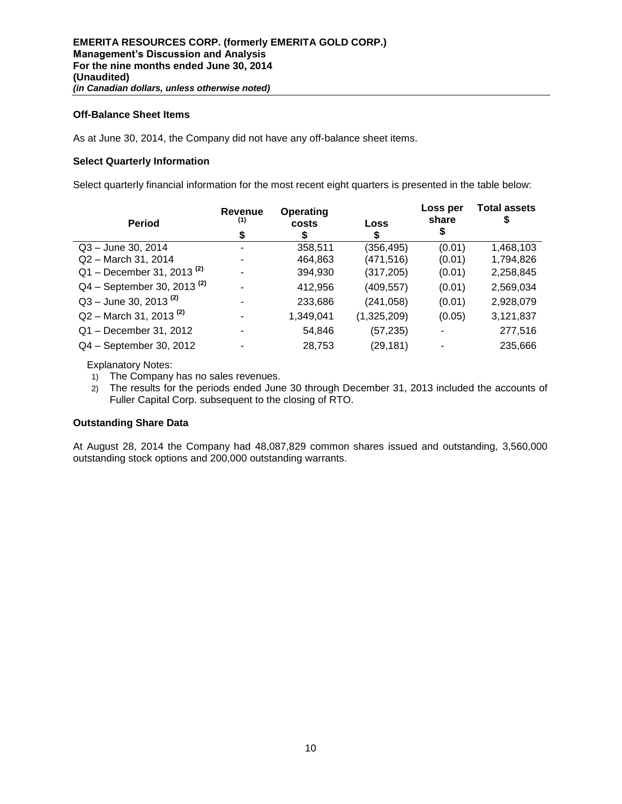## **Off-Balance Sheet Items**

As at June 30, 2014, the Company did not have any off-balance sheet items.

## **Select Quarterly Information**

Select quarterly financial information for the most recent eight quarters is presented in the table below:

| <b>Period</b>                           | Revenue<br>(1)<br>\$ | Operating<br>costs<br>S |             | Loss per<br>share | <b>Total assets</b><br>5 |
|-----------------------------------------|----------------------|-------------------------|-------------|-------------------|--------------------------|
| Q3 - June 30, 2014                      | -                    | 358,511                 | (356, 495)  | (0.01)            | 1,468,103                |
| Q2 - March 31, 2014                     |                      | 464,863                 | (471, 516)  | (0.01)            | 1,794,826                |
| $Q1 -$ December 31, 2013 <sup>(2)</sup> |                      | 394,930                 | (317, 205)  | (0.01)            | 2,258,845                |
| $Q4 - September 30, 2013^{(2)}$         |                      | 412,956                 | (409, 557)  | (0.01)            | 2,569,034                |
| $Q3 -$ June 30, 2013 <sup>(2)</sup>     |                      | 233,686                 | (241, 058)  | (0.01)            | 2,928,079                |
| $Q2 -$ March 31, 2013 <sup>(2)</sup>    |                      | 1,349,041               | (1,325,209) | (0.05)            | 3,121,837                |
| Q1 - December 31, 2012                  |                      | 54,846                  | (57, 235)   |                   | 277,516                  |
| Q4 - September 30, 2012                 |                      | 28,753                  | (29, 181)   |                   | 235,666                  |

Explanatory Notes:

- 1) The Company has no sales revenues.
- 2) The results for the periods ended June 30 through December 31, 2013 included the accounts of Fuller Capital Corp. subsequent to the closing of RTO.

## **Outstanding Share Data**

At August 28, 2014 the Company had 48,087,829 common shares issued and outstanding, 3,560,000 outstanding stock options and 200,000 outstanding warrants.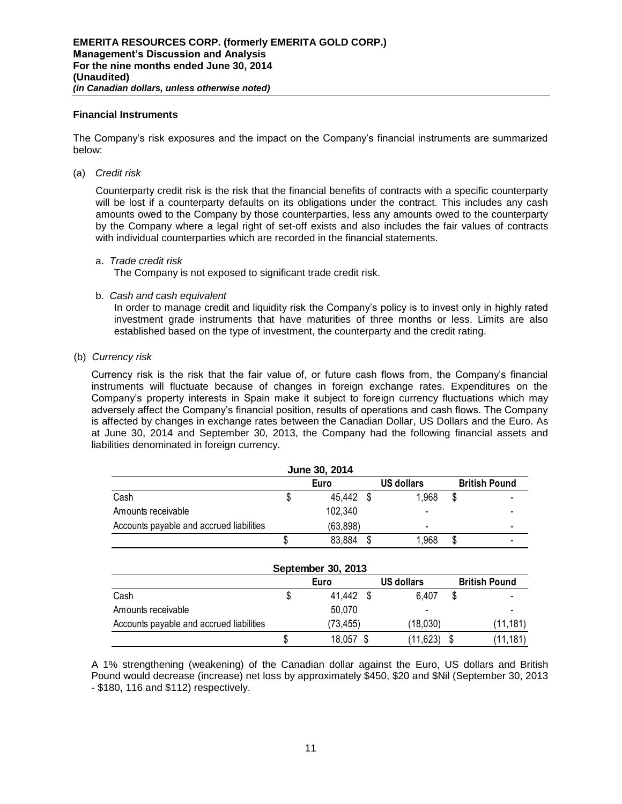#### **Financial Instruments**

The Company's risk exposures and the impact on the Company's financial instruments are summarized below:

(a) *Credit risk* 

Counterparty credit risk is the risk that the financial benefits of contracts with a specific counterparty will be lost if a counterparty defaults on its obligations under the contract. This includes any cash amounts owed to the Company by those counterparties, less any amounts owed to the counterparty by the Company where a legal right of set-off exists and also includes the fair values of contracts with individual counterparties which are recorded in the financial statements.

#### a. *Trade credit risk*

The Company is not exposed to significant trade credit risk.

b. *Cash and cash equivalent*

In order to manage credit and liquidity risk the Company's policy is to invest only in highly rated investment grade instruments that have maturities of three months or less. Limits are also established based on the type of investment, the counterparty and the credit rating.

(b) *Currency risk* 

Currency risk is the risk that the fair value of, or future cash flows from, the Company's financial instruments will fluctuate because of changes in foreign exchange rates. Expenditures on the Company's property interests in Spain make it subject to foreign currency fluctuations which may adversely affect the Company's financial position, results of operations and cash flows. The Company is affected by changes in exchange rates between the Canadian Dollar, US Dollars and the Euro. As at June 30, 2014 and September 30, 2013, the Company had the following financial assets and liabilities denominated in foreign currency.

| June 30, 2014                                     |  |           |   |                          |    |  |  |  |  |  |
|---------------------------------------------------|--|-----------|---|--------------------------|----|--|--|--|--|--|
| <b>US dollars</b><br><b>British Pound</b><br>Euro |  |           |   |                          |    |  |  |  |  |  |
| Cash                                              |  | 45,442 \$ |   | 1,968                    | S  |  |  |  |  |  |
| Amounts receivable                                |  | 102,340   |   |                          |    |  |  |  |  |  |
| Accounts payable and accrued liabilities          |  | (63, 898) |   | $\overline{\phantom{0}}$ |    |  |  |  |  |  |
|                                                   |  | 83,884    | S | 1,968                    | \$ |  |  |  |  |  |
|                                                   |  |           |   |                          |    |  |  |  |  |  |

| September 30, 2013                       |  |           |  |            |                      |           |  |  |  |  |
|------------------------------------------|--|-----------|--|------------|----------------------|-----------|--|--|--|--|
|                                          |  | Euro      |  | US dollars | <b>British Pound</b> |           |  |  |  |  |
| Cash                                     |  | 41.442 \$ |  | 6.407      |                      |           |  |  |  |  |
| Amounts receivable                       |  | 50,070    |  | -          |                      |           |  |  |  |  |
| Accounts payable and accrued liabilities |  | (73, 455) |  | (18,030)   |                      | (11, 181) |  |  |  |  |
|                                          |  | 18.057    |  | (11, 623)  |                      | (11, 181) |  |  |  |  |

A 1% strengthening (weakening) of the Canadian dollar against the Euro, US dollars and British Pound would decrease (increase) net loss by approximately \$450, \$20 and \$Nil (September 30, 2013 - \$180, 116 and \$112) respectively.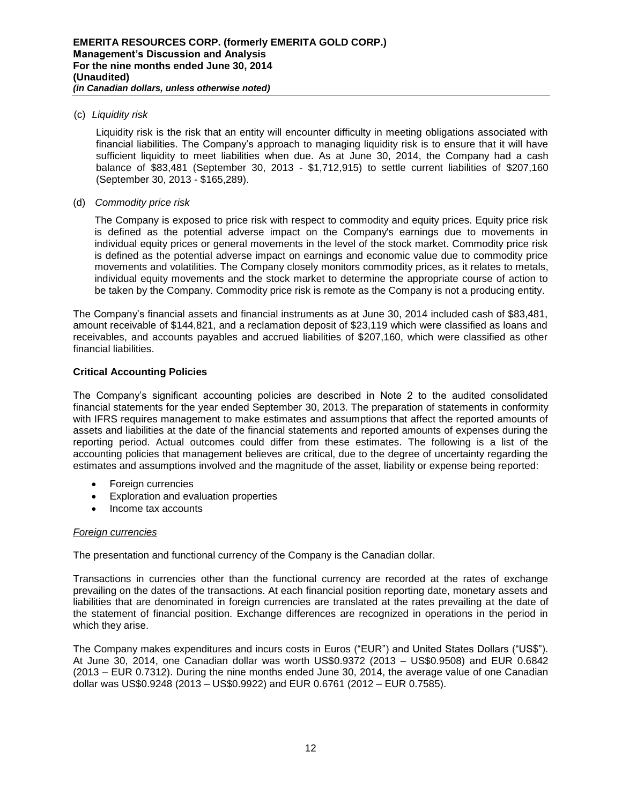## (c) *Liquidity risk*

Liquidity risk is the risk that an entity will encounter difficulty in meeting obligations associated with financial liabilities. The Company's approach to managing liquidity risk is to ensure that it will have sufficient liquidity to meet liabilities when due. As at June 30, 2014, the Company had a cash balance of \$83,481 (September 30, 2013 - \$1,712,915) to settle current liabilities of \$207,160 (September 30, 2013 - \$165,289).

#### (d) *Commodity price risk*

The Company is exposed to price risk with respect to commodity and equity prices. Equity price risk is defined as the potential adverse impact on the Company's earnings due to movements in individual equity prices or general movements in the level of the stock market. Commodity price risk is defined as the potential adverse impact on earnings and economic value due to commodity price movements and volatilities. The Company closely monitors commodity prices, as it relates to metals, individual equity movements and the stock market to determine the appropriate course of action to be taken by the Company. Commodity price risk is remote as the Company is not a producing entity.

The Company's financial assets and financial instruments as at June 30, 2014 included cash of \$83,481, amount receivable of \$144,821, and a reclamation deposit of \$23,119 which were classified as loans and receivables, and accounts payables and accrued liabilities of \$207,160, which were classified as other financial liabilities.

## **Critical Accounting Policies**

The Company's significant accounting policies are described in Note 2 to the audited consolidated financial statements for the year ended September 30, 2013. The preparation of statements in conformity with IFRS requires management to make estimates and assumptions that affect the reported amounts of assets and liabilities at the date of the financial statements and reported amounts of expenses during the reporting period. Actual outcomes could differ from these estimates. The following is a list of the accounting policies that management believes are critical, due to the degree of uncertainty regarding the estimates and assumptions involved and the magnitude of the asset, liability or expense being reported:

- Foreign currencies
- Exploration and evaluation properties
- Income tax accounts

## *Foreign currencies*

The presentation and functional currency of the Company is the Canadian dollar.

Transactions in currencies other than the functional currency are recorded at the rates of exchange prevailing on the dates of the transactions. At each financial position reporting date, monetary assets and liabilities that are denominated in foreign currencies are translated at the rates prevailing at the date of the statement of financial position. Exchange differences are recognized in operations in the period in which they arise.

The Company makes expenditures and incurs costs in Euros ("EUR") and United States Dollars ("US\$"). At June 30, 2014, one Canadian dollar was worth US\$0.9372 (2013 – US\$0.9508) and EUR 0.6842 (2013 – EUR 0.7312). During the nine months ended June 30, 2014, the average value of one Canadian dollar was US\$0.9248 (2013 – US\$0.9922) and EUR 0.6761 (2012 – EUR 0.7585).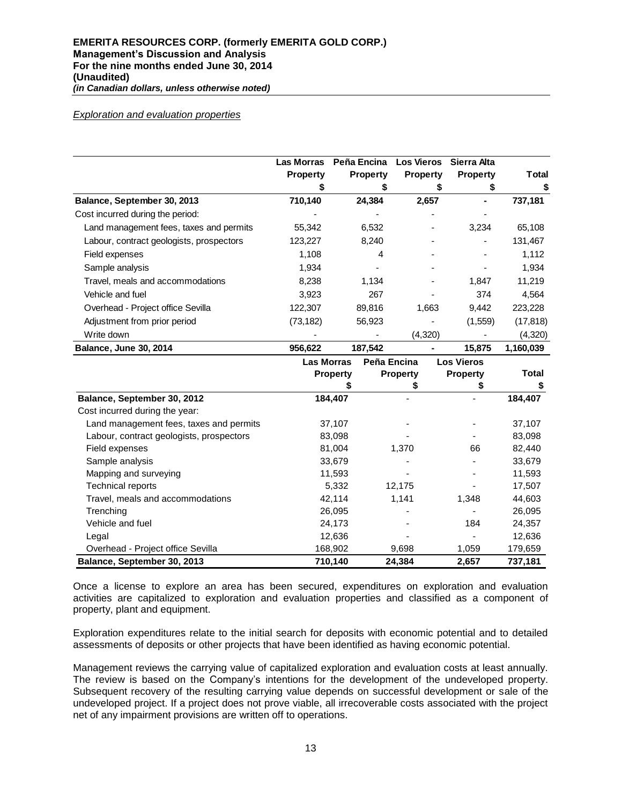#### *Exploration and evaluation properties*

|                                          | Las Morras<br><b>Property</b> | Peña Encina<br><b>Property</b> | <b>Los Vieros</b><br><b>Property</b> | Sierra Alta<br><b>Property</b> | Total     |
|------------------------------------------|-------------------------------|--------------------------------|--------------------------------------|--------------------------------|-----------|
|                                          |                               |                                |                                      |                                | \$        |
| Balance, September 30, 2013              | 710,140                       | 24,384                         | 2,657                                | ۰                              | 737,181   |
| Cost incurred during the period:         |                               |                                |                                      |                                |           |
| Land management fees, taxes and permits  | 55,342                        | 6,532                          |                                      | 3,234                          | 65,108    |
| Labour, contract geologists, prospectors | 123,227                       | 8,240                          |                                      | ۰                              | 131,467   |
| Field expenses                           | 1,108                         | 4                              |                                      | ٠                              | 1,112     |
| Sample analysis                          | 1,934                         |                                |                                      |                                | 1,934     |
| Travel, meals and accommodations         | 8,238                         | 1,134                          |                                      | 1,847                          | 11,219    |
| Vehicle and fuel                         | 3,923                         | 267                            |                                      | 374                            | 4,564     |
| Overhead - Project office Sevilla        | 122,307                       | 89,816                         | 1,663                                | 9.442                          | 223,228   |
| Adjustment from prior period             | (73, 182)                     | 56,923                         |                                      | (1,559)                        | (17, 818) |
| Write down                               |                               |                                | (4,320)                              |                                | (4,320)   |
| <b>Balance, June 30, 2014</b>            | 956.622                       | 187.542                        |                                      | 15.875                         | 1.160.039 |

|                                          | <b>Las Morras</b> | Peña Encina     | <b>Los Vieros</b> |         |
|------------------------------------------|-------------------|-----------------|-------------------|---------|
|                                          | <b>Property</b>   | <b>Property</b> | <b>Property</b>   | Total   |
|                                          |                   |                 | \$                |         |
| Balance, September 30, 2012              | 184,407           |                 |                   | 184,407 |
| Cost incurred during the year:           |                   |                 |                   |         |
| Land management fees, taxes and permits  | 37,107            |                 |                   | 37,107  |
| Labour, contract geologists, prospectors | 83,098            |                 |                   | 83,098  |
| Field expenses                           | 81,004            | 1,370           | 66                | 82,440  |
| Sample analysis                          | 33,679            |                 |                   | 33,679  |
| Mapping and surveying                    | 11,593            |                 |                   | 11,593  |
| <b>Technical reports</b>                 | 5,332             | 12,175          |                   | 17,507  |
| Travel, meals and accommodations         | 42,114            | 1,141           | 1,348             | 44,603  |
| Trenching                                | 26,095            |                 |                   | 26,095  |
| Vehicle and fuel                         | 24,173            |                 | 184               | 24,357  |
| Legal                                    | 12,636            |                 |                   | 12,636  |
| Overhead - Project office Sevilla        | 168,902           | 9,698           | 1,059             | 179,659 |
| Balance, September 30, 2013              | 710,140           | 24,384          | 2,657             | 737,181 |

Once a license to explore an area has been secured, expenditures on exploration and evaluation activities are capitalized to exploration and evaluation properties and classified as a component of property, plant and equipment.

Exploration expenditures relate to the initial search for deposits with economic potential and to detailed assessments of deposits or other projects that have been identified as having economic potential.

Management reviews the carrying value of capitalized exploration and evaluation costs at least annually. The review is based on the Company's intentions for the development of the undeveloped property. Subsequent recovery of the resulting carrying value depends on successful development or sale of the undeveloped project. If a project does not prove viable, all irrecoverable costs associated with the project net of any impairment provisions are written off to operations.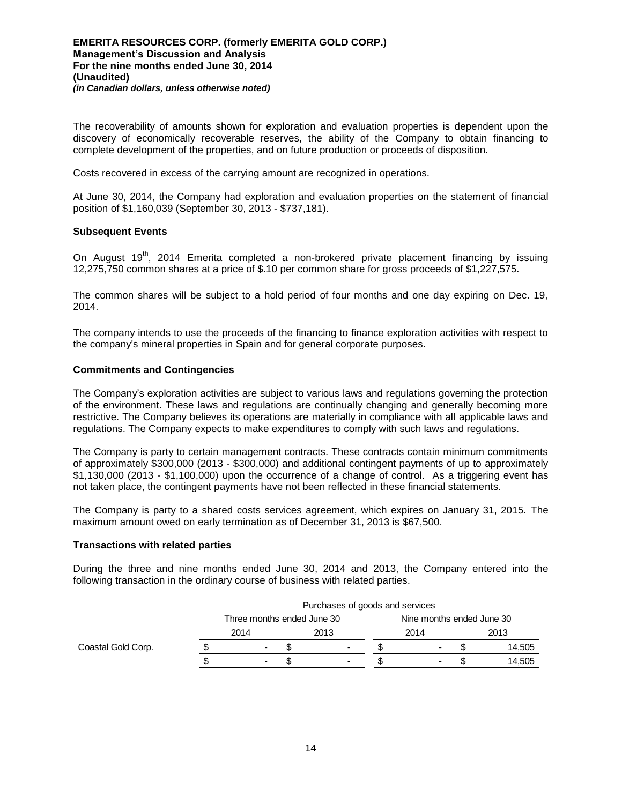The recoverability of amounts shown for exploration and evaluation properties is dependent upon the discovery of economically recoverable reserves, the ability of the Company to obtain financing to complete development of the properties, and on future production or proceeds of disposition.

Costs recovered in excess of the carrying amount are recognized in operations.

At June 30, 2014, the Company had exploration and evaluation properties on the statement of financial position of \$1,160,039 (September 30, 2013 - \$737,181).

## **Subsequent Events**

On August  $19<sup>th</sup>$ , 2014 Emerita completed a non-brokered private placement financing by issuing 12,275,750 common shares at a price of \$.10 per common share for gross proceeds of \$1,227,575.

The common shares will be subject to a hold period of four months and one day expiring on Dec. 19, 2014.

The company intends to use the proceeds of the financing to finance exploration activities with respect to the company's mineral properties in Spain and for general corporate purposes.

#### **Commitments and Contingencies**

The Company's exploration activities are subject to various laws and regulations governing the protection of the environment. These laws and regulations are continually changing and generally becoming more restrictive. The Company believes its operations are materially in compliance with all applicable laws and regulations. The Company expects to make expenditures to comply with such laws and regulations.

The Company is party to certain management contracts. These contracts contain minimum commitments of approximately \$300,000 (2013 - \$300,000) and additional contingent payments of up to approximately \$1,130,000 (2013 - \$1,100,000) upon the occurrence of a change of control. As a triggering event has not taken place, the contingent payments have not been reflected in these financial statements.

The Company is party to a shared costs services agreement, which expires on January 31, 2015. The maximum amount owed on early termination as of December 31, 2013 is \$67,500.

#### **Transactions with related parties**

During the three and nine months ended June 30, 2014 and 2013, the Company entered into the following transaction in the ordinary course of business with related parties.

|                    | Purchases of goods and services |                            |  |                          |  |                           |  |        |  |
|--------------------|---------------------------------|----------------------------|--|--------------------------|--|---------------------------|--|--------|--|
|                    |                                 | Three months ended June 30 |  |                          |  | Nine months ended June 30 |  |        |  |
|                    |                                 | 2014                       |  | 2013                     |  | 2014                      |  | 2013   |  |
| Coastal Gold Corp. |                                 | $\overline{\phantom{0}}$   |  | $\overline{\phantom{0}}$ |  | $\overline{\phantom{a}}$  |  | 14,505 |  |
|                    |                                 | $\overline{\phantom{a}}$   |  | $\overline{\phantom{0}}$ |  | $\overline{\phantom{0}}$  |  | 14,505 |  |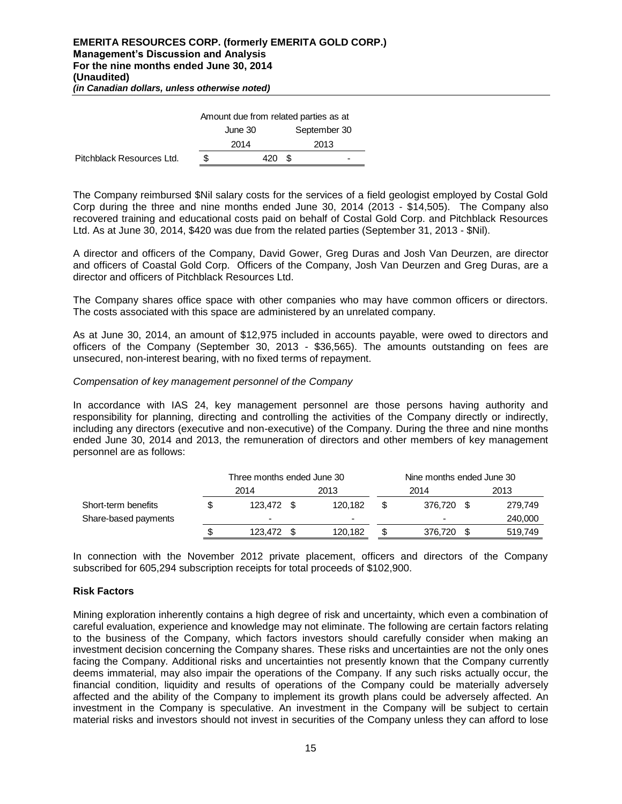|                           | Amount due from related parties as at |         |    |              |  |  |  |
|---------------------------|---------------------------------------|---------|----|--------------|--|--|--|
|                           |                                       | June 30 |    | September 30 |  |  |  |
|                           |                                       | 2014    |    | 2013         |  |  |  |
| Pitchblack Resources Ltd. | S                                     | 420     | £. | -            |  |  |  |

The Company reimbursed \$Nil salary costs for the services of a field geologist employed by Costal Gold Corp during the three and nine months ended June 30, 2014 (2013 - \$14,505). The Company also recovered training and educational costs paid on behalf of Costal Gold Corp. and Pitchblack Resources Ltd. As at June 30, 2014, \$420 was due from the related parties (September 31, 2013 - \$Nil).

A director and officers of the Company, David Gower, Greg Duras and Josh Van Deurzen, are director and officers of Coastal Gold Corp. Officers of the Company, Josh Van Deurzen and Greg Duras, are a director and officers of Pitchblack Resources Ltd.

The Company shares office space with other companies who may have common officers or directors. The costs associated with this space are administered by an unrelated company.

As at June 30, 2014, an amount of \$12,975 included in accounts payable, were owed to directors and officers of the Company (September 30, 2013 - \$36,565). The amounts outstanding on fees are unsecured, non-interest bearing, with no fixed terms of repayment.

#### *Compensation of key management personnel of the Company*

In accordance with IAS 24, key management personnel are those persons having authority and responsibility for planning, directing and controlling the activities of the Company directly or indirectly, including any directors (executive and non-executive) of the Company. During the three and nine months ended June 30, 2014 and 2013, the remuneration of directors and other members of key management personnel are as follows:

|                      | Three months ended June 30 |    | Nine months ended June 30 |  |                          |     |         |
|----------------------|----------------------------|----|---------------------------|--|--------------------------|-----|---------|
|                      | 2014                       |    | 2013                      |  | 2014                     |     | 2013    |
| Short-term benefits  | 123.472                    |    | 120.182                   |  | 376.720                  | \$. | 279,749 |
| Share-based payments | $\overline{\phantom{0}}$   |    |                           |  | $\overline{\phantom{0}}$ |     | 240,000 |
|                      | 123.472                    | \$ | 120.182                   |  | 376.720                  |     | 519,749 |

In connection with the November 2012 private placement, officers and directors of the Company subscribed for 605,294 subscription receipts for total proceeds of \$102,900.

## **Risk Factors**

Amount due from related parties as at<br>
June 30 September 31<br>
2014 2013<br>
Sulter and 2013<br>
Sulter and 2013<br>
Sulter and 2015<br>
Sulter and 2015<br>
Ali salary costs for the services compare<br>
Ali salary costs paid on behalf of C<br>
2 Mining exploration inherently contains a high degree of risk and uncertainty, which even a combination of careful evaluation, experience and knowledge may not eliminate. The following are certain factors relating to the business of the Company, which factors investors should carefully consider when making an investment decision concerning the Company shares. These risks and uncertainties are not the only ones facing the Company. Additional risks and uncertainties not presently known that the Company currently deems immaterial, may also impair the operations of the Company. If any such risks actually occur, the financial condition, liquidity and results of operations of the Company could be materially adversely affected and the ability of the Company to implement its growth plans could be adversely affected. An investment in the Company is speculative. An investment in the Company will be subject to certain material risks and investors should not invest in securities of the Company unless they can afford to lose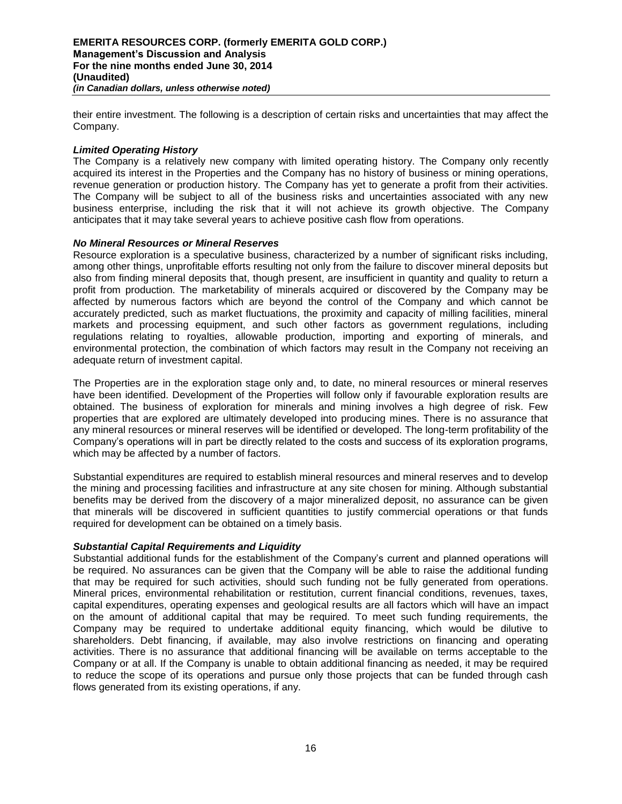their entire investment. The following is a description of certain risks and uncertainties that may affect the Company.

#### *Limited Operating History*

The Company is a relatively new company with limited operating history. The Company only recently acquired its interest in the Properties and the Company has no history of business or mining operations, revenue generation or production history. The Company has yet to generate a profit from their activities. The Company will be subject to all of the business risks and uncertainties associated with any new business enterprise, including the risk that it will not achieve its growth objective. The Company anticipates that it may take several years to achieve positive cash flow from operations.

#### *No Mineral Resources or Mineral Reserves*

Resource exploration is a speculative business, characterized by a number of significant risks including, among other things, unprofitable efforts resulting not only from the failure to discover mineral deposits but also from finding mineral deposits that, though present, are insufficient in quantity and quality to return a profit from production. The marketability of minerals acquired or discovered by the Company may be affected by numerous factors which are beyond the control of the Company and which cannot be accurately predicted, such as market fluctuations, the proximity and capacity of milling facilities, mineral markets and processing equipment, and such other factors as government regulations, including regulations relating to royalties, allowable production, importing and exporting of minerals, and environmental protection, the combination of which factors may result in the Company not receiving an adequate return of investment capital.

The Properties are in the exploration stage only and, to date, no mineral resources or mineral reserves have been identified. Development of the Properties will follow only if favourable exploration results are obtained. The business of exploration for minerals and mining involves a high degree of risk. Few properties that are explored are ultimately developed into producing mines. There is no assurance that any mineral resources or mineral reserves will be identified or developed. The long-term profitability of the Company's operations will in part be directly related to the costs and success of its exploration programs, which may be affected by a number of factors.

Substantial expenditures are required to establish mineral resources and mineral reserves and to develop the mining and processing facilities and infrastructure at any site chosen for mining. Although substantial benefits may be derived from the discovery of a major mineralized deposit, no assurance can be given that minerals will be discovered in sufficient quantities to justify commercial operations or that funds required for development can be obtained on a timely basis.

## *Substantial Capital Requirements and Liquidity*

Substantial additional funds for the establishment of the Company's current and planned operations will be required. No assurances can be given that the Company will be able to raise the additional funding that may be required for such activities, should such funding not be fully generated from operations. Mineral prices, environmental rehabilitation or restitution, current financial conditions, revenues, taxes, capital expenditures, operating expenses and geological results are all factors which will have an impact on the amount of additional capital that may be required. To meet such funding requirements, the Company may be required to undertake additional equity financing, which would be dilutive to shareholders. Debt financing, if available, may also involve restrictions on financing and operating activities. There is no assurance that additional financing will be available on terms acceptable to the Company or at all. If the Company is unable to obtain additional financing as needed, it may be required to reduce the scope of its operations and pursue only those projects that can be funded through cash flows generated from its existing operations, if any.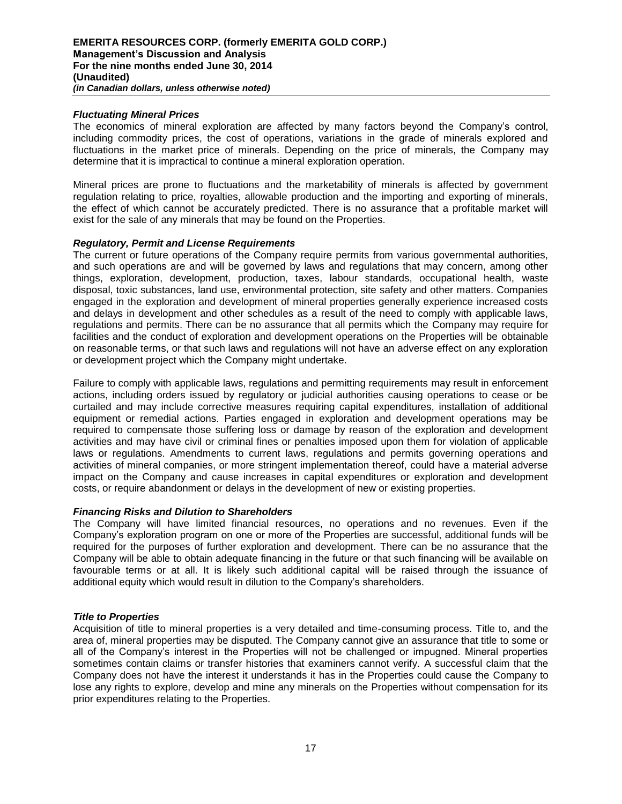## *Fluctuating Mineral Prices*

The economics of mineral exploration are affected by many factors beyond the Company's control, including commodity prices, the cost of operations, variations in the grade of minerals explored and fluctuations in the market price of minerals. Depending on the price of minerals, the Company may determine that it is impractical to continue a mineral exploration operation.

Mineral prices are prone to fluctuations and the marketability of minerals is affected by government regulation relating to price, royalties, allowable production and the importing and exporting of minerals, the effect of which cannot be accurately predicted. There is no assurance that a profitable market will exist for the sale of any minerals that may be found on the Properties.

#### *Regulatory, Permit and License Requirements*

The current or future operations of the Company require permits from various governmental authorities, and such operations are and will be governed by laws and regulations that may concern, among other things, exploration, development, production, taxes, labour standards, occupational health, waste disposal, toxic substances, land use, environmental protection, site safety and other matters. Companies engaged in the exploration and development of mineral properties generally experience increased costs and delays in development and other schedules as a result of the need to comply with applicable laws, regulations and permits. There can be no assurance that all permits which the Company may require for facilities and the conduct of exploration and development operations on the Properties will be obtainable on reasonable terms, or that such laws and regulations will not have an adverse effect on any exploration or development project which the Company might undertake.

Failure to comply with applicable laws, regulations and permitting requirements may result in enforcement actions, including orders issued by regulatory or judicial authorities causing operations to cease or be curtailed and may include corrective measures requiring capital expenditures, installation of additional equipment or remedial actions. Parties engaged in exploration and development operations may be required to compensate those suffering loss or damage by reason of the exploration and development activities and may have civil or criminal fines or penalties imposed upon them for violation of applicable laws or regulations. Amendments to current laws, regulations and permits governing operations and activities of mineral companies, or more stringent implementation thereof, could have a material adverse impact on the Company and cause increases in capital expenditures or exploration and development costs, or require abandonment or delays in the development of new or existing properties.

#### *Financing Risks and Dilution to Shareholders*

The Company will have limited financial resources, no operations and no revenues. Even if the Company's exploration program on one or more of the Properties are successful, additional funds will be required for the purposes of further exploration and development. There can be no assurance that the Company will be able to obtain adequate financing in the future or that such financing will be available on favourable terms or at all. It is likely such additional capital will be raised through the issuance of additional equity which would result in dilution to the Company's shareholders.

#### *Title to Properties*

Acquisition of title to mineral properties is a very detailed and time-consuming process. Title to, and the area of, mineral properties may be disputed. The Company cannot give an assurance that title to some or all of the Company's interest in the Properties will not be challenged or impugned. Mineral properties sometimes contain claims or transfer histories that examiners cannot verify. A successful claim that the Company does not have the interest it understands it has in the Properties could cause the Company to lose any rights to explore, develop and mine any minerals on the Properties without compensation for its prior expenditures relating to the Properties.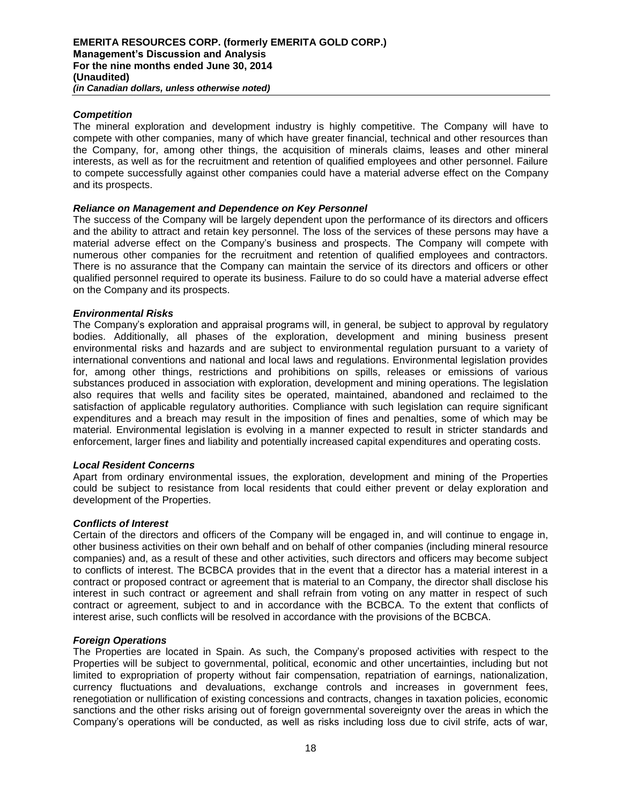## *Competition*

The mineral exploration and development industry is highly competitive. The Company will have to compete with other companies, many of which have greater financial, technical and other resources than the Company, for, among other things, the acquisition of minerals claims, leases and other mineral interests, as well as for the recruitment and retention of qualified employees and other personnel. Failure to compete successfully against other companies could have a material adverse effect on the Company and its prospects.

#### *Reliance on Management and Dependence on Key Personnel*

The success of the Company will be largely dependent upon the performance of its directors and officers and the ability to attract and retain key personnel. The loss of the services of these persons may have a material adverse effect on the Company's business and prospects. The Company will compete with numerous other companies for the recruitment and retention of qualified employees and contractors. There is no assurance that the Company can maintain the service of its directors and officers or other qualified personnel required to operate its business. Failure to do so could have a material adverse effect on the Company and its prospects.

#### *Environmental Risks*

The Company's exploration and appraisal programs will, in general, be subject to approval by regulatory bodies. Additionally, all phases of the exploration, development and mining business present environmental risks and hazards and are subject to environmental regulation pursuant to a variety of international conventions and national and local laws and regulations. Environmental legislation provides for, among other things, restrictions and prohibitions on spills, releases or emissions of various substances produced in association with exploration, development and mining operations. The legislation also requires that wells and facility sites be operated, maintained, abandoned and reclaimed to the satisfaction of applicable regulatory authorities. Compliance with such legislation can require significant expenditures and a breach may result in the imposition of fines and penalties, some of which may be material. Environmental legislation is evolving in a manner expected to result in stricter standards and enforcement, larger fines and liability and potentially increased capital expenditures and operating costs.

#### *Local Resident Concerns*

Apart from ordinary environmental issues, the exploration, development and mining of the Properties could be subject to resistance from local residents that could either prevent or delay exploration and development of the Properties.

#### *Conflicts of Interest*

Certain of the directors and officers of the Company will be engaged in, and will continue to engage in, other business activities on their own behalf and on behalf of other companies (including mineral resource companies) and, as a result of these and other activities, such directors and officers may become subject to conflicts of interest. The BCBCA provides that in the event that a director has a material interest in a contract or proposed contract or agreement that is material to an Company, the director shall disclose his interest in such contract or agreement and shall refrain from voting on any matter in respect of such contract or agreement, subject to and in accordance with the BCBCA. To the extent that conflicts of interest arise, such conflicts will be resolved in accordance with the provisions of the BCBCA.

#### *Foreign Operations*

The Properties are located in Spain. As such, the Company's proposed activities with respect to the Properties will be subject to governmental, political, economic and other uncertainties, including but not limited to expropriation of property without fair compensation, repatriation of earnings, nationalization, currency fluctuations and devaluations, exchange controls and increases in government fees, renegotiation or nullification of existing concessions and contracts, changes in taxation policies, economic sanctions and the other risks arising out of foreign governmental sovereignty over the areas in which the Company's operations will be conducted, as well as risks including loss due to civil strife, acts of war,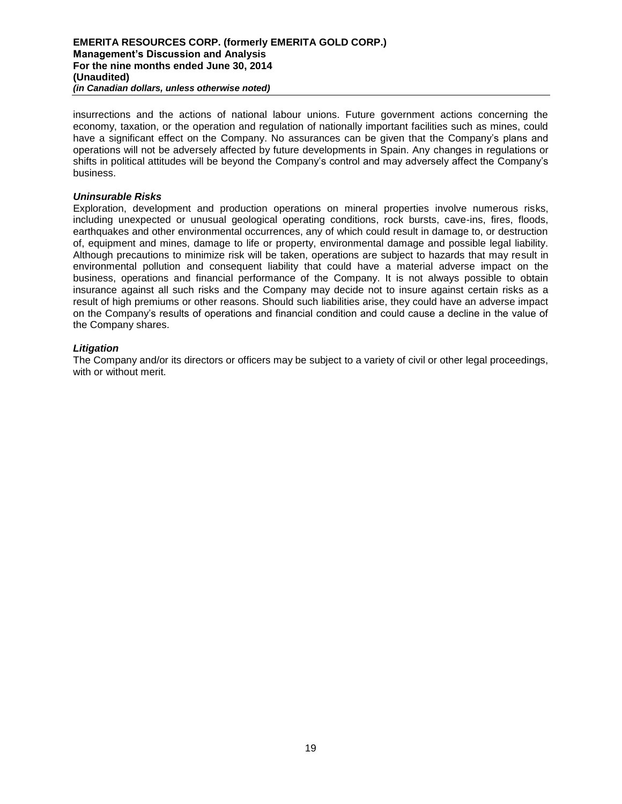insurrections and the actions of national labour unions. Future government actions concerning the economy, taxation, or the operation and regulation of nationally important facilities such as mines, could have a significant effect on the Company. No assurances can be given that the Company's plans and operations will not be adversely affected by future developments in Spain. Any changes in regulations or shifts in political attitudes will be beyond the Company's control and may adversely affect the Company's business.

#### *Uninsurable Risks*

Exploration, development and production operations on mineral properties involve numerous risks, including unexpected or unusual geological operating conditions, rock bursts, cave-ins, fires, floods, earthquakes and other environmental occurrences, any of which could result in damage to, or destruction of, equipment and mines, damage to life or property, environmental damage and possible legal liability. Although precautions to minimize risk will be taken, operations are subject to hazards that may result in environmental pollution and consequent liability that could have a material adverse impact on the business, operations and financial performance of the Company. It is not always possible to obtain insurance against all such risks and the Company may decide not to insure against certain risks as a result of high premiums or other reasons. Should such liabilities arise, they could have an adverse impact on the Company's results of operations and financial condition and could cause a decline in the value of the Company shares.

## *Litigation*

The Company and/or its directors or officers may be subject to a variety of civil or other legal proceedings, with or without merit.